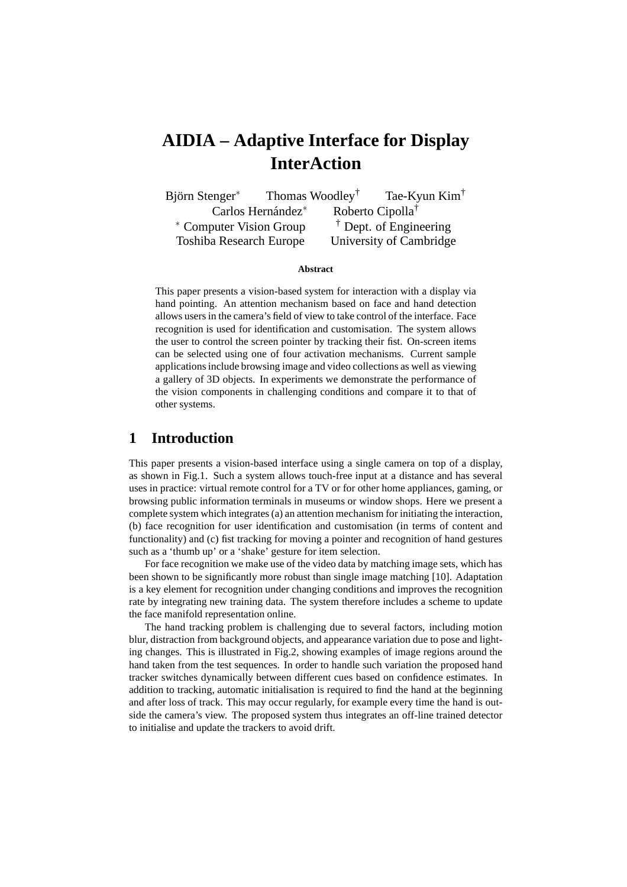# **AIDIA – Adaptive Interface for Display InterAction**

Björn Stenger<sup>∗</sup> Thomas Woodley<sup>†</sup> Tae-Kyun Kim<sup>†</sup> Carlos Hernández<sup>∗</sup> Roberto Cipolla<sup>†</sup> <sup>∗</sup> Computer Vision Group † Dept. of Engineering Toshiba Research Europe University of Cambridge

#### **Abstract**

This paper presents a vision-based system for interaction with a display via hand pointing. An attention mechanism based on face and hand detection allows users in the camera's field of view to take control of the interface. Face recognition is used for identification and customisation. The system allows the user to control the screen pointer by tracking their fist. On-screen items can be selected using one of four activation mechanisms. Current sample applications include browsing image and video collections as well as viewing a gallery of 3D objects. In experiments we demonstrate the performance of the vision components in challenging conditions and compare it to that of other systems.

### **1 Introduction**

This paper presents a vision-based interface using a single camera on top of a display, as shown in Fig.1. Such a system allows touch-free input at a distance and has several uses in practice: virtual remote control for a TV or for other home appliances, gaming, or browsing public information terminals in museums or window shops. Here we present a complete system which integrates (a) an attention mechanism for initiating the interaction, (b) face recognition for user identification and customisation (in terms of content and functionality) and (c) fist tracking for moving a pointer and recognition of hand gestures such as a 'thumb up' or a 'shake' gesture for item selection.

For face recognition we make use of the video data by matching image sets, which has been shown to be significantly more robust than single image matching [10]. Adaptation is a key element for recognition under changing conditions and improves the recognition rate by integrating new training data. The system therefore includes a scheme to update the face manifold representation online.

The hand tracking problem is challenging due to several factors, including motion blur, distraction from background objects, and appearance variation due to pose and lighting changes. This is illustrated in Fig.2, showing examples of image regions around the hand taken from the test sequences. In order to handle such variation the proposed hand tracker switches dynamically between different cues based on confidence estimates. In addition to tracking, automatic initialisation is required to find the hand at the beginning and after loss of track. This may occur regularly, for example every time the hand is outside the camera's view. The proposed system thus integrates an off-line trained detector to initialise and update the trackers to avoid drift.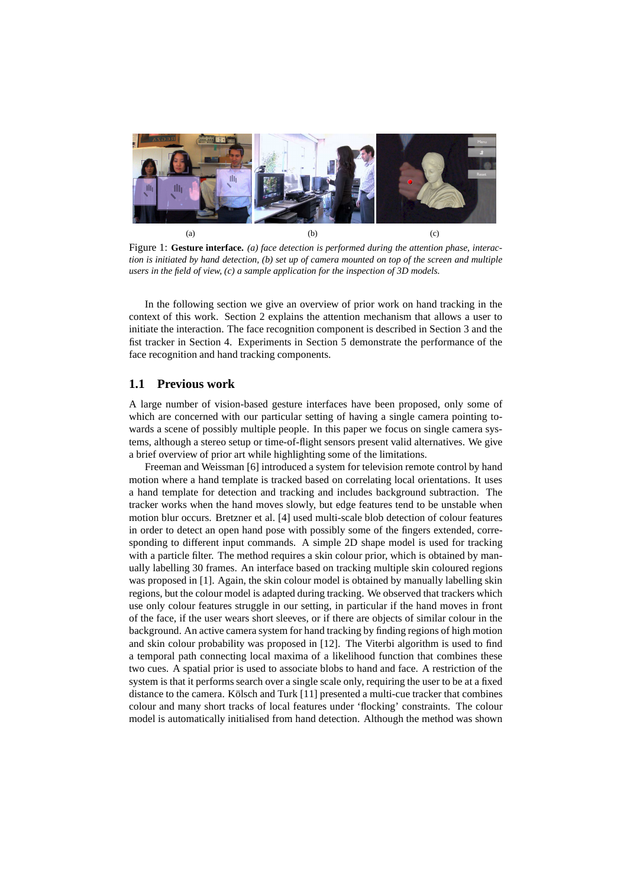

Figure 1: **Gesture interface.** *(a) face detection is performed during the attention phase, interaction is initiated by hand detection, (b) set up of camera mounted on top of the screen and multiple users in the field of view, (c) a sample application for the inspection of 3D models.*

In the following section we give an overview of prior work on hand tracking in the context of this work. Section 2 explains the attention mechanism that allows a user to initiate the interaction. The face recognition component is described in Section 3 and the fist tracker in Section 4. Experiments in Section 5 demonstrate the performance of the face recognition and hand tracking components.

#### **1.1 Previous work**

A large number of vision-based gesture interfaces have been proposed, only some of which are concerned with our particular setting of having a single camera pointing towards a scene of possibly multiple people. In this paper we focus on single camera systems, although a stereo setup or time-of-flight sensors present valid alternatives. We give a brief overview of prior art while highlighting some of the limitations.

Freeman and Weissman [6] introduced a system for television remote control by hand motion where a hand template is tracked based on correlating local orientations. It uses a hand template for detection and tracking and includes background subtraction. The tracker works when the hand moves slowly, but edge features tend to be unstable when motion blur occurs. Bretzner et al. [4] used multi-scale blob detection of colour features in order to detect an open hand pose with possibly some of the fingers extended, corresponding to different input commands. A simple 2D shape model is used for tracking with a particle filter. The method requires a skin colour prior, which is obtained by manually labelling 30 frames. An interface based on tracking multiple skin coloured regions was proposed in [1]. Again, the skin colour model is obtained by manually labelling skin regions, but the colour model is adapted during tracking. We observed that trackers which use only colour features struggle in our setting, in particular if the hand moves in front of the face, if the user wears short sleeves, or if there are objects of similar colour in the background. An active camera system for hand tracking by finding regions of high motion and skin colour probability was proposed in [12]. The Viterbi algorithm is used to find a temporal path connecting local maxima of a likelihood function that combines these two cues. A spatial prior is used to associate blobs to hand and face. A restriction of the system is that it performs search over a single scale only, requiring the user to be at a fixed distance to the camera. Kölsch and Turk  $[11]$  presented a multi-cue tracker that combines colour and many short tracks of local features under 'flocking' constraints. The colour model is automatically initialised from hand detection. Although the method was shown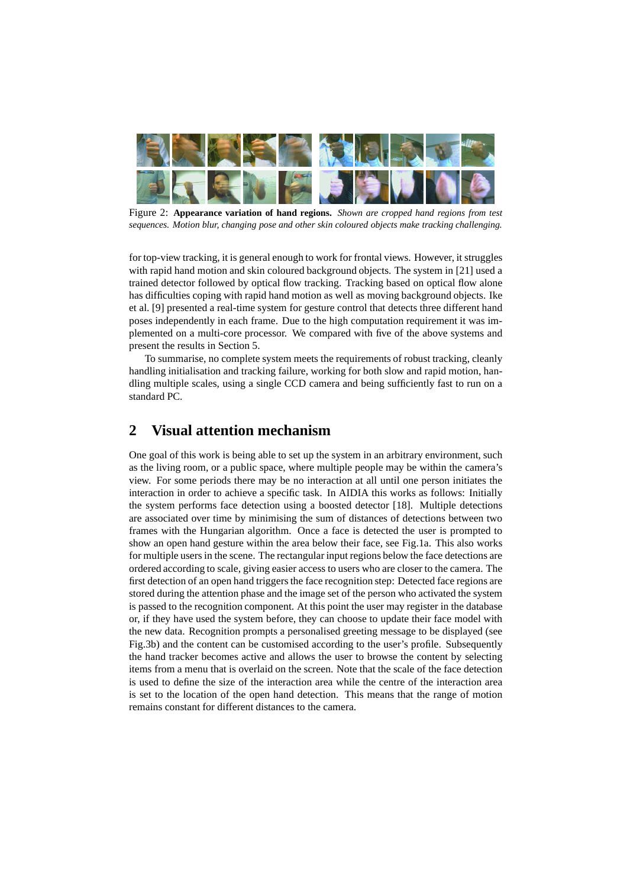

Figure 2: **Appearance variation of hand regions.** *Shown are cropped hand regions from test sequences. Motion blur, changing pose and other skin coloured objects make tracking challenging.*

for top-view tracking, it is general enough to work for frontal views. However, it struggles with rapid hand motion and skin coloured background objects. The system in [21] used a trained detector followed by optical flow tracking. Tracking based on optical flow alone has difficulties coping with rapid hand motion as well as moving background objects. Ike et al. [9] presented a real-time system for gesture control that detects three different hand poses independently in each frame. Due to the high computation requirement it was implemented on a multi-core processor. We compared with five of the above systems and present the results in Section 5.

To summarise, no complete system meets the requirements of robust tracking, cleanly handling initialisation and tracking failure, working for both slow and rapid motion, handling multiple scales, using a single CCD camera and being sufficiently fast to run on a standard PC.

# **2 Visual attention mechanism**

One goal of this work is being able to set up the system in an arbitrary environment, such as the living room, or a public space, where multiple people may be within the camera's view. For some periods there may be no interaction at all until one person initiates the interaction in order to achieve a specific task. In AIDIA this works as follows: Initially the system performs face detection using a boosted detector [18]. Multiple detections are associated over time by minimising the sum of distances of detections between two frames with the Hungarian algorithm. Once a face is detected the user is prompted to show an open hand gesture within the area below their face, see Fig.1a. This also works for multiple users in the scene. The rectangular input regions below the face detections are ordered according to scale, giving easier access to users who are closer to the camera. The first detection of an open hand triggers the face recognition step: Detected face regions are stored during the attention phase and the image set of the person who activated the system is passed to the recognition component. At this point the user may register in the database or, if they have used the system before, they can choose to update their face model with the new data. Recognition prompts a personalised greeting message to be displayed (see Fig.3b) and the content can be customised according to the user's profile. Subsequently the hand tracker becomes active and allows the user to browse the content by selecting items from a menu that is overlaid on the screen. Note that the scale of the face detection is used to define the size of the interaction area while the centre of the interaction area is set to the location of the open hand detection. This means that the range of motion remains constant for different distances to the camera.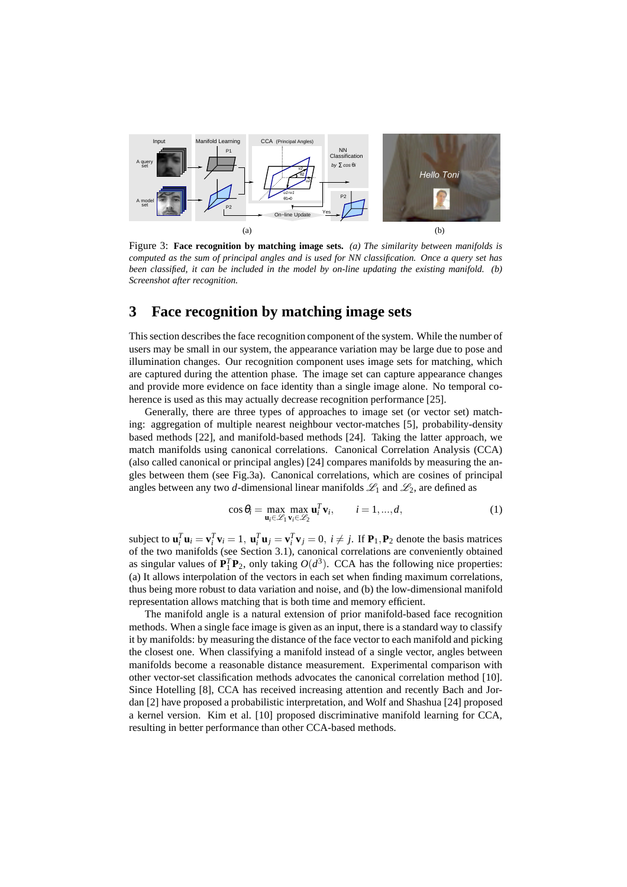

Figure 3: **Face recognition by matching image sets.** *(a) The similarity between manifolds is computed as the sum of principal angles and is used for NN classification. Once a query set has been classified, it can be included in the model by on-line updating the existing manifold. (b) Screenshot after recognition.*

### **3 Face recognition by matching image sets**

This section describes the face recognition component of the system. While the number of users may be small in our system, the appearance variation may be large due to pose and illumination changes. Our recognition component uses image sets for matching, which are captured during the attention phase. The image set can capture appearance changes and provide more evidence on face identity than a single image alone. No temporal coherence is used as this may actually decrease recognition performance [25].

Generally, there are three types of approaches to image set (or vector set) matching: aggregation of multiple nearest neighbour vector-matches [5], probability-density based methods [22], and manifold-based methods [24]. Taking the latter approach, we match manifolds using canonical correlations. Canonical Correlation Analysis (CCA) (also called canonical or principal angles) [24] compares manifolds by measuring the angles between them (see Fig.3a). Canonical correlations, which are cosines of principal angles between any two *d*-dimensional linear manifolds  $\mathcal{L}_1$  and  $\mathcal{L}_2$ , are defined as

$$
\cos \theta_i = \max_{\mathbf{u}_i \in \mathcal{L}_1} \max_{\mathbf{v}_i \in \mathcal{L}_2} \mathbf{u}_i^T \mathbf{v}_i, \qquad i = 1, ..., d,
$$
\n(1)

subject to  $\mathbf{u}_i^T \mathbf{u}_i = \mathbf{v}_i^T \mathbf{v}_i = 1$ ,  $\mathbf{u}_i^T \mathbf{u}_j = \mathbf{v}_i^T \mathbf{v}_j = 0$ ,  $i \neq j$ . If  $\mathbf{P}_1, \mathbf{P}_2$  denote the basis matrices of the two manifolds (see Section 3.1), canonical correlations are conveniently obtained as singular values of  $\mathbf{P}_1^T \mathbf{P}_2$ , only taking  $O(d^3)$ . CCA has the following nice properties: (a) It allows interpolation of the vectors in each set when finding maximum correlations, thus being more robust to data variation and noise, and (b) the low-dimensional manifold representation allows matching that is both time and memory efficient.

The manifold angle is a natural extension of prior manifold-based face recognition methods. When a single face image is given as an input, there is a standard way to classify it by manifolds: by measuring the distance of the face vector to each manifold and picking the closest one. When classifying a manifold instead of a single vector, angles between manifolds become a reasonable distance measurement. Experimental comparison with other vector-set classification methods advocates the canonical correlation method [10]. Since Hotelling [8], CCA has received increasing attention and recently Bach and Jordan [2] have proposed a probabilistic interpretation, and Wolf and Shashua [24] proposed a kernel version. Kim et al. [10] proposed discriminative manifold learning for CCA, resulting in better performance than other CCA-based methods.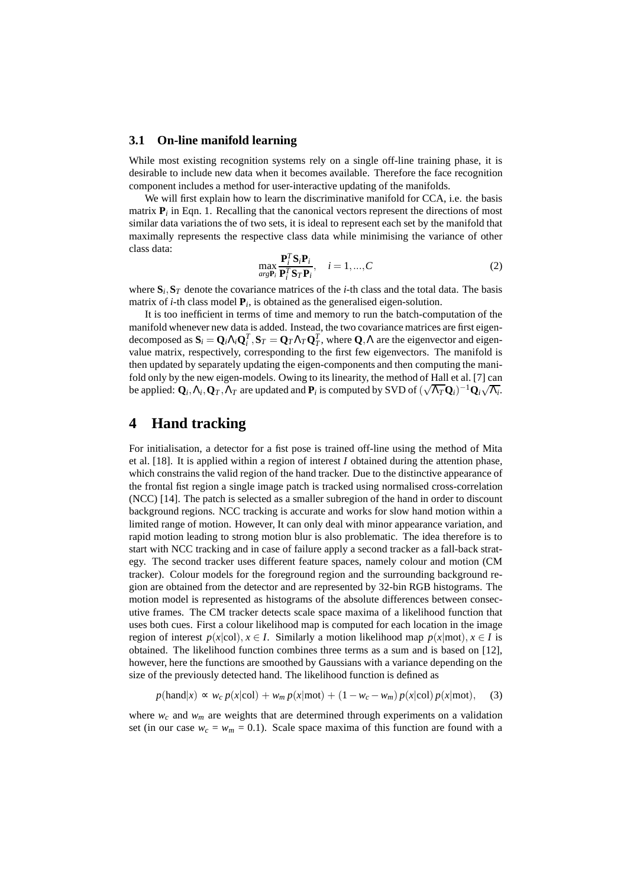#### **3.1 On-line manifold learning**

While most existing recognition systems rely on a single off-line training phase, it is desirable to include new data when it becomes available. Therefore the face recognition component includes a method for user-interactive updating of the manifolds.

We will first explain how to learn the discriminative manifold for CCA, i.e. the basis matrix  $P_i$  in Eqn. 1. Recalling that the canonical vectors represent the directions of most similar data variations the of two sets, it is ideal to represent each set by the manifold that maximally represents the respective class data while minimising the variance of other class data:

$$
\max_{arg \mathbf{P}_i} \frac{\mathbf{P}_i^T \mathbf{S}_i \mathbf{P}_i}{\mathbf{P}_i^T \mathbf{S}_T \mathbf{P}_i}, \quad i = 1, ..., C
$$
\n(2)

where  $\mathbf{S}_i$ ,  $\mathbf{S}_T$  denote the covariance matrices of the *i*-th class and the total data. The basis matrix of *i*-th class model  $P_i$ , is obtained as the generalised eigen-solution.

It is too inefficient in terms of time and memory to run the batch-computation of the manifold whenever new data is added. Instead, the two covariance matrices are first eigendecomposed as  $S_i = Q_i \Lambda_i Q_i^T$ ,  $S_T = Q_T \Lambda_T Q_T^T$ , where  $Q, \Lambda$  are the eigenvector and eigenvalue matrix, respectively, corresponding to the first few eigenvectors. The manifold is then updated by separately updating the eigen-components and then computing the manifold only by the new eigen-models. Owing to its linearity, the method of Hall et al. [7] can be applied:  $\mathbf{Q}_i, \Lambda_i, \mathbf{Q}_T, \Lambda_T$  are updated and  $\mathbf{P}_i$  is computed by SVD of  $(\sqrt{\Lambda_T} \mathbf{Q}_i)^{-1} \mathbf{Q}_i \sqrt{\Lambda_i}$ .

### **4 Hand tracking**

For initialisation, a detector for a fist pose is trained off-line using the method of Mita et al. [18]. It is applied within a region of interest *I* obtained during the attention phase, which constrains the valid region of the hand tracker. Due to the distinctive appearance of the frontal fist region a single image patch is tracked using normalised cross-correlation (NCC) [14]. The patch is selected as a smaller subregion of the hand in order to discount background regions. NCC tracking is accurate and works for slow hand motion within a limited range of motion. However, It can only deal with minor appearance variation, and rapid motion leading to strong motion blur is also problematic. The idea therefore is to start with NCC tracking and in case of failure apply a second tracker as a fall-back strategy. The second tracker uses different feature spaces, namely colour and motion (CM tracker). Colour models for the foreground region and the surrounding background region are obtained from the detector and are represented by 32-bin RGB histograms. The motion model is represented as histograms of the absolute differences between consecutive frames. The CM tracker detects scale space maxima of a likelihood function that uses both cues. First a colour likelihood map is computed for each location in the image region of interest  $p(x|col), x \in I$ . Similarly a motion likelihood map  $p(x|mot), x \in I$  is obtained. The likelihood function combines three terms as a sum and is based on [12], however, here the functions are smoothed by Gaussians with a variance depending on the size of the previously detected hand. The likelihood function is defined as

$$
p(\text{hand}|x) \propto w_c \, p(x|\text{col}) + w_m \, p(x|\text{mot}) + (1 - w_c - w_m) \, p(x|\text{col}) \, p(x|\text{mot}), \quad (3)
$$

where  $w_c$  and  $w_m$  are weights that are determined through experiments on a validation set (in our case  $w_c = w_m = 0.1$ ). Scale space maxima of this function are found with a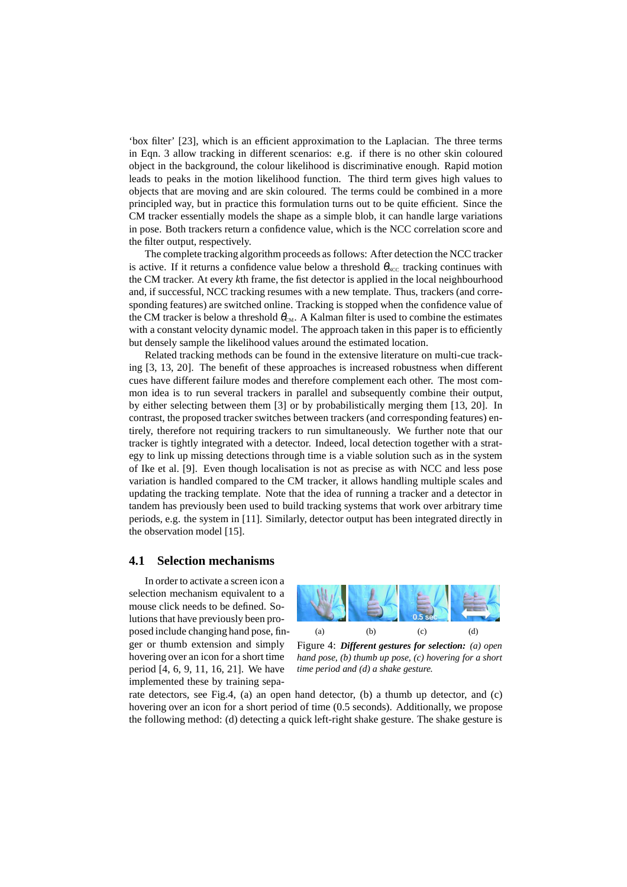'box filter' [23], which is an efficient approximation to the Laplacian. The three terms in Eqn. 3 allow tracking in different scenarios: e.g. if there is no other skin coloured object in the background, the colour likelihood is discriminative enough. Rapid motion leads to peaks in the motion likelihood function. The third term gives high values to objects that are moving and are skin coloured. The terms could be combined in a more principled way, but in practice this formulation turns out to be quite efficient. Since the CM tracker essentially models the shape as a simple blob, it can handle large variations in pose. Both trackers return a confidence value, which is the NCC correlation score and the filter output, respectively.

The complete tracking algorithm proceeds as follows: After detection the NCC tracker is active. If it returns a confidence value below a threshold  $\theta_{NCC}$  tracking continues with the CM tracker. At every *k*th frame, the fist detector is applied in the local neighbourhood and, if successful, NCC tracking resumes with a new template. Thus, trackers (and corresponding features) are switched online. Tracking is stopped when the confidence value of the CM tracker is below a threshold  $\theta_{\text{CM}}$ . A Kalman filter is used to combine the estimates with a constant velocity dynamic model. The approach taken in this paper is to efficiently but densely sample the likelihood values around the estimated location.

Related tracking methods can be found in the extensive literature on multi-cue tracking [3, 13, 20]. The benefit of these approaches is increased robustness when different cues have different failure modes and therefore complement each other. The most common idea is to run several trackers in parallel and subsequently combine their output, by either selecting between them [3] or by probabilistically merging them [13, 20]. In contrast, the proposed tracker switches between trackers (and corresponding features) entirely, therefore not requiring trackers to run simultaneously. We further note that our tracker is tightly integrated with a detector. Indeed, local detection together with a strategy to link up missing detections through time is a viable solution such as in the system of Ike et al. [9]. Even though localisation is not as precise as with NCC and less pose variation is handled compared to the CM tracker, it allows handling multiple scales and updating the tracking template. Note that the idea of running a tracker and a detector in tandem has previously been used to build tracking systems that work over arbitrary time periods, e.g. the system in [11]. Similarly, detector output has been integrated directly in the observation model [15].

#### **4.1 Selection mechanisms**

In order to activate a screen icon a selection mechanism equivalent to a mouse click needs to be defined. Solutions that have previously been proposed include changing hand pose, finger or thumb extension and simply hovering over an icon for a short time period [4, 6, 9, 11, 16, 21]. We have implemented these by training sepa-



Figure 4: *Different gestures for selection: (a) open hand pose, (b) thumb up pose, (c) hovering for a short time period and (d) a shake gesture.*

rate detectors, see Fig.4, (a) an open hand detector, (b) a thumb up detector, and (c) hovering over an icon for a short period of time (0.5 seconds). Additionally, we propose the following method: (d) detecting a quick left-right shake gesture. The shake gesture is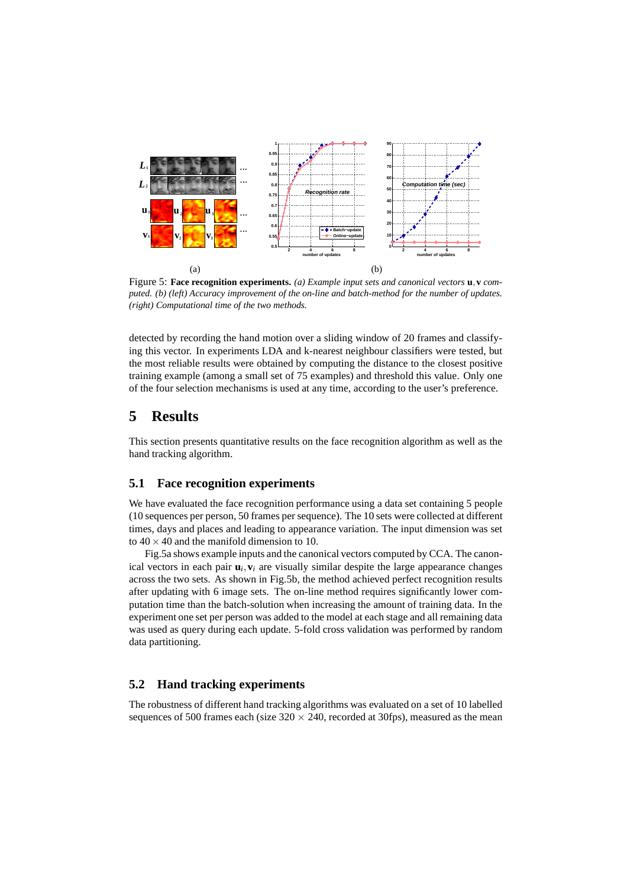

Figure 5: **Face recognition experiments.** *(a) Example input sets and canonical vectors* **<sup>u</sup>**,**<sup>v</sup>** *computed. (b) (left) Accuracy improvement of the on-line and batch-method for the number of updates. (right) Computational time of the two methods.*

detected by recording the hand motion over a sliding window of 20 frames and classifying this vector. In experiments LDA and k-nearest neighbour classifiers were tested, but the most reliable results were obtained by computing the distance to the closest positive training example (among a small set of 75 examples) and threshold this value. Only one of the four selection mechanisms is used at any time, according to the user's preference.

## **5 Results**

This section presents quantitative results on the face recognition algorithm as well as the hand tracking algorithm.

#### **5.1 Face recognition experiments**

We have evaluated the face recognition performance using a data set containing 5 people (10 sequences per person, 50 frames per sequence). The 10 sets were collected at different times, days and places and leading to appearance variation. The input dimension was set to  $40 \times 40$  and the manifold dimension to 10.

Fig.5a shows example inputs and the canonical vectors computed by CCA. The canonical vectors in each pair  $\mathbf{u}_i, \mathbf{v}_i$  are visually similar despite the large appearance changes across the two sets. As shown in Fig.5b, the method achieved perfect recognition results after updating with 6 image sets. The on-line method requires significantly lower computation time than the batch-solution when increasing the amount of training data. In the experiment one set per person was added to the model at each stage and all remaining data was used as query during each update. 5-fold cross validation was performed by random data partitioning.

#### **5.2 Hand tracking experiments**

The robustness of different hand tracking algorithms was evaluated on a set of 10 labelled sequences of 500 frames each (size  $320 \times 240$ , recorded at 30fps), measured as the mean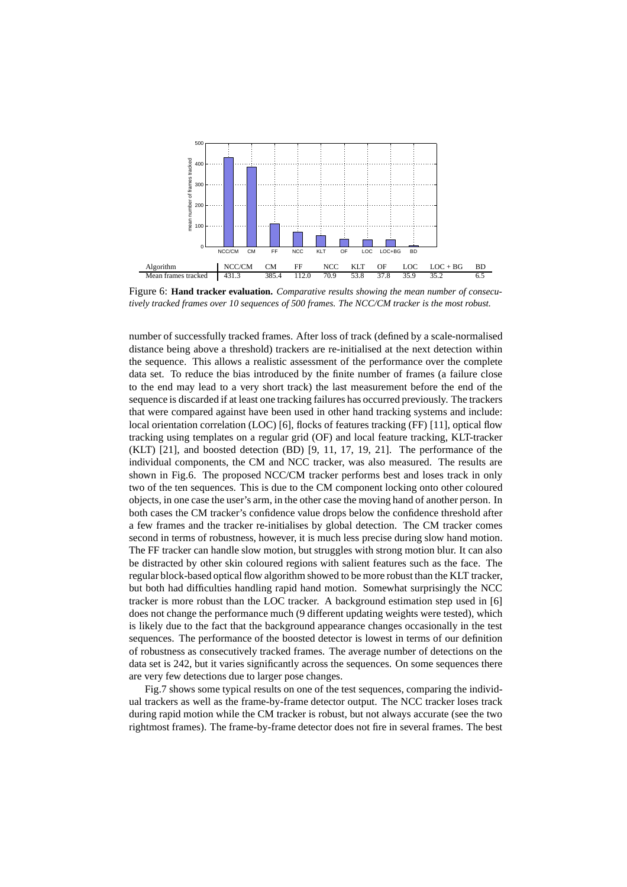

Figure 6: **Hand tracker evaluation.** *Comparative results showing the mean number of consecutively tracked frames over 10 sequences of 500 frames. The NCC/CM tracker is the most robust.*

number of successfully tracked frames. After loss of track (defined by a scale-normalised distance being above a threshold) trackers are re-initialised at the next detection within the sequence. This allows a realistic assessment of the performance over the complete data set. To reduce the bias introduced by the finite number of frames (a failure close to the end may lead to a very short track) the last measurement before the end of the sequence is discarded if at least one tracking failures has occurred previously. The trackers that were compared against have been used in other hand tracking systems and include: local orientation correlation (LOC) [6], flocks of features tracking (FF) [11], optical flow tracking using templates on a regular grid (OF) and local feature tracking, KLT-tracker (KLT) [21], and boosted detection (BD) [9, 11, 17, 19, 21]. The performance of the individual components, the CM and NCC tracker, was also measured. The results are shown in Fig.6. The proposed NCC/CM tracker performs best and loses track in only two of the ten sequences. This is due to the CM component locking onto other coloured objects, in one case the user's arm, in the other case the moving hand of another person. In both cases the CM tracker's confidence value drops below the confidence threshold after a few frames and the tracker re-initialises by global detection. The CM tracker comes second in terms of robustness, however, it is much less precise during slow hand motion. The FF tracker can handle slow motion, but struggles with strong motion blur. It can also be distracted by other skin coloured regions with salient features such as the face. The regular block-based optical flow algorithm showed to be more robust than the KLT tracker, but both had difficulties handling rapid hand motion. Somewhat surprisingly the NCC tracker is more robust than the LOC tracker. A background estimation step used in [6] does not change the performance much (9 different updating weights were tested), which is likely due to the fact that the background appearance changes occasionally in the test sequences. The performance of the boosted detector is lowest in terms of our definition of robustness as consecutively tracked frames. The average number of detections on the data set is 242, but it varies significantly across the sequences. On some sequences there are very few detections due to larger pose changes.

Fig.7 shows some typical results on one of the test sequences, comparing the individual trackers as well as the frame-by-frame detector output. The NCC tracker loses track during rapid motion while the CM tracker is robust, but not always accurate (see the two rightmost frames). The frame-by-frame detector does not fire in several frames. The best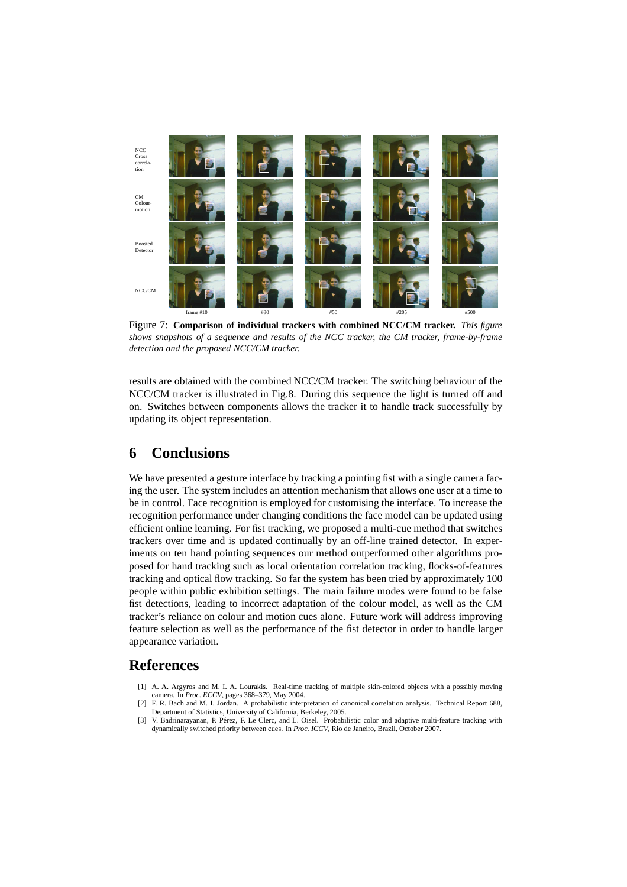

Figure 7: **Comparison of individual trackers with combined NCC/CM tracker.** *This figure shows snapshots of a sequence and results of the NCC tracker, the CM tracker, frame-by-frame detection and the proposed NCC/CM tracker.*

results are obtained with the combined NCC/CM tracker. The switching behaviour of the NCC/CM tracker is illustrated in Fig.8. During this sequence the light is turned off and on. Switches between components allows the tracker it to handle track successfully by updating its object representation.

# **6 Conclusions**

We have presented a gesture interface by tracking a pointing fist with a single camera facing the user. The system includes an attention mechanism that allows one user at a time to be in control. Face recognition is employed for customising the interface. To increase the recognition performance under changing conditions the face model can be updated using efficient online learning. For fist tracking, we proposed a multi-cue method that switches trackers over time and is updated continually by an off-line trained detector. In experiments on ten hand pointing sequences our method outperformed other algorithms proposed for hand tracking such as local orientation correlation tracking, flocks-of-features tracking and optical flow tracking. So far the system has been tried by approximately 100 people within public exhibition settings. The main failure modes were found to be false fist detections, leading to incorrect adaptation of the colour model, as well as the CM tracker's reliance on colour and motion cues alone. Future work will address improving feature selection as well as the performance of the fist detector in order to handle larger appearance variation.

## **References**

- [1] A. A. Argyros and M. I. A. Lourakis. Real-time tracking of multiple skin-colored objects with a possibly moving camera. In *Proc. ECCV*, pages 368–379, May 2004.
- [2] F. R. Bach and M. I. Jordan. A probabilistic interpretation of canonical correlation analysis. Technical Report 688, Department of Statistics, University of California, Berkeley, 2005.
- [3] V. Badrinarayanan, P. P´erez, F. Le Clerc, and L. Oisel. Probabilistic color and adaptive multi-feature tracking with dynamically switched priority between cues. In *Proc. ICCV*, Rio de Janeiro, Brazil, October 2007.